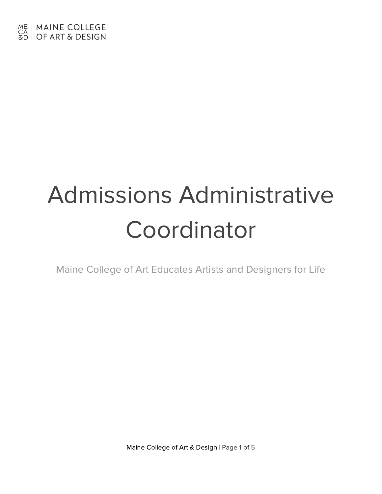# Admissions Administrative **Coordinator**

Maine College of Art Educates Artists and Designers for Life

Maine College of Art & Design | Page 1 of 5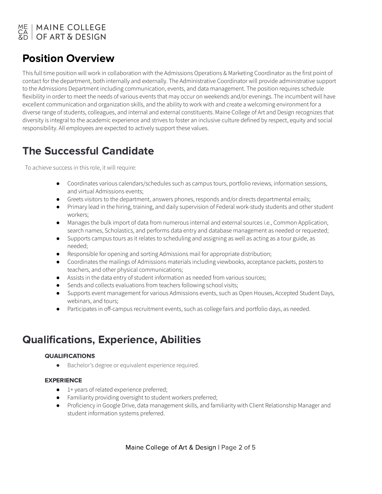## ME | MAINE COLLEGE<br>CA | OF ART & DESIGN

## Position Overview

This full time position will work in collaboration with the Admissions Operations & Marketing Coordinator as the first point of contact for the department, both internally and externally. The Administrative Coordinator will provide administrative support to the Admissions Department including communication, events, and data management. The position requires schedule flexibility in order to meet the needs of various events that may occur on weekends and/or evenings. The incumbent will have excellent communication and organization skills, and the ability to work with and create a welcoming environment for a diverse range of students, colleagues, and internal and external constituents. Maine College of Art and Design recognizes that diversity is integral to the academic experience and strives to foster an inclusive culture defined by respect, equity and social responsibility. All employees are expected to actively support these values.

## The Successful Candidate

To achieve success in this role, it will require:

- Coordinates various calendars/schedules such as campus tours, portfolio reviews, information sessions, and virtual Admissions events;
- Greets visitors to the department, answers phones, responds and/or directs departmental emails;
- Primary lead in the hiring, training, and daily supervision of Federal work-study students and other student workers;
- Manages the bulk import of data from numerous internal and external sources i.e., Common Application, search names, Scholastics, and performs data entry and database management as needed or requested;
- Supports campus tours as it relates to scheduling and assigning as well as acting as a tour guide, as needed;
- Responsible for opening and sorting Admissions mail for appropriate distribution;
- Coordinates the mailings of Admissions materials including viewbooks, acceptance packets, posters to teachers, and other physical communications;
- Assists in the data entry of student information as needed from various sources;
- Sends and collects evaluations from teachers following school visits;
- Supports event management for various Admissions events, such as Open Houses, Accepted Student Days, webinars, and tours;
- Participates in off-campus recruitment events, such as college fairs and portfolio days, as needed.

## Qualifications, Experience, Abilities

#### QUALIFICATIONS

● Bachelor's degree or equivalent experience required.

#### EXPERIENCE

- 1+ years of related experience preferred;
- Familiarity providing oversight to student workers preferred;
- Proficiency in Google Drive, data management skills, and familiarity with Client Relationship Manager and student information systems preferred.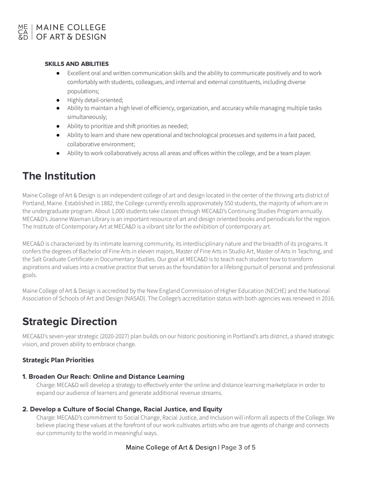#### SKILLS AND ABILITIES

- Excellent oral and written communication skills and the ability to communicate positively and to work comfortably with students, colleagues, and internal and external constituents, including diverse populations;
- Highly detail-oriented;
- Ability to maintain a high level of efficiency, organization, and accuracy while managing multiple tasks simultaneously;
- Ability to prioritize and shift priorities as needed;
- Ability to learn and share new operational and technological processes and systems in a fast paced, collaborative environment;
- Ability to work collaboratively across all areas and offices within the college, and be a team player.

## The Institution

Maine College of Art & Design is an independent college of art and design located in the center of the thriving arts district of Portland, Maine. Established in 1882, the College currently enrolls approximately 550 students, the majority of whom are in the undergraduate program. About 1,000 students take classes through MECA&D's Continuing Studies Program annually. MECA&D's Joanne Waxman Library is an important resource of art and design oriented books and periodicals for the region. The Institute of Contemporary Art at MECA&D is a vibrant site for the exhibition of contemporary art.

MECA&D is characterized by its intimate learning community, its interdisciplinary nature and the breadth of its programs. It confers the degrees of Bachelor of Fine Arts in eleven majors, Master of Fine Arts in Studio Art, Master of Arts in Teaching, and the Salt Graduate Certificate in Documentary Studies. Our goal at MECA&D is to teach each student how to transform aspirations and values into a creative practice that serves as the foundation for a lifelong pursuit of personal and professional goals.

Maine College of Art & Design is accredited by the New England Commission of Higher Education (NECHE) and the National Association of Schools of Art and Design (NASAD). The College's accreditation status with both agencies was renewed in 2016.

## Strategic Direction

MECA&D's seven-year strategic (2020-2027) plan builds on our historic positioning in Portland's arts district, a shared strategic vision, and proven ability to embrace change.

#### **Strategic Plan Priorities**

#### 1. Broaden Our Reach: Online and Distance Learning

Charge: MECA&D will develop a strategy to effectively enter the online and distance learning marketplace in order to expand our audience of learners and generate additional revenue streams.

#### 2. Develop a Culture of Social Change, Racial Justice, and Equity

Charge: MECA&D's commitment to Social Change, Racial Justice, and Inclusion will inform all aspects of the College. We believe placing these values at the forefront of our work cultivates artists who are true agents of change and connects our community to the world in meaningful ways.

#### Maine College of Art & Design | Page 3 of 5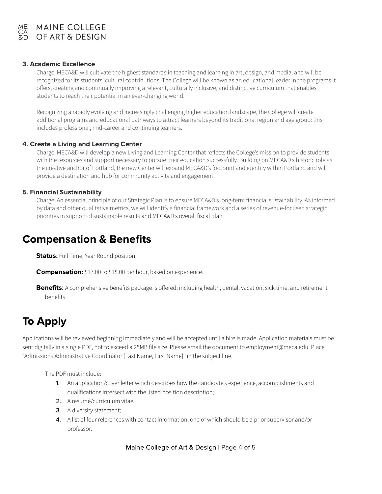

#### 3. Academic Excellence

Charge: MECA&D will cultivate the highest standards in teaching and learning in art, design, and media, and will be recognized for its students' cultural contributions. The College will be known as an educational leader in the programs it offers, creating and continually improving a relevant, culturally inclusive, and distinctive curriculum that enables students to reach their potential in an ever-changing world.

Recognizing a rapidly evolving and increasingly challenging higher education landscape, the College will create additional programs and educational pathways to attract learners beyond its traditional region and age group: this includes professional, mid-career and continuing learners.

#### 4. Create a Living and Learning Center

Charge: MECA&D will develop a new Living and Learning Center that reflects the College's mission to provide students with the resources and support necessary to pursue their education successfully. Building on MECA&D's historic role as the creative anchor of Portland, the new Center will expand MECA&D's footprint and identity within Portland and will provide a destination and hub for community activity and engagement.

#### 5. Financial Sustainability

Charge: An essential principle of our Strategic Plan is to ensure MECA&D's long-term financial sustainability. As informed by data and other qualitative metrics, we will identify a financial framework and a series of revenue-focused strategic priorities in support of sustainable results and MECA&D's overall fiscal plan.

### Compensation & Benefits

**Status:** Full Time, Year Round position

**Compensation:** \$17.00 to \$18.00 per hour, based on experience.

Benefits: A comprehensive benefits package is offered, including health, dental, vacation, sick time, and retirement benefits

## To Apply

Applications will be reviewed beginning immediately and will be accepted until a hire is made. Application materials must be sent digitally in a single PDF, not to exceed a 25MB file size. Please email the document to employment@meca.edu. Place "Admissions Administrative Coordinator [Last Name, First Name]" in the subject line.

The PDF must include:

- 1. An application/cover letter which describes how the candidate's experience, accomplishments and qualifications intersect with the listed position description;
- 2. A resumé/curriculum vitae;
- 3. A diversity statement;
- 4. A list of four references with contact information, one of which should be a prior supervisor and/or professor.

Maine College of Art & Design | Page 4 of 5